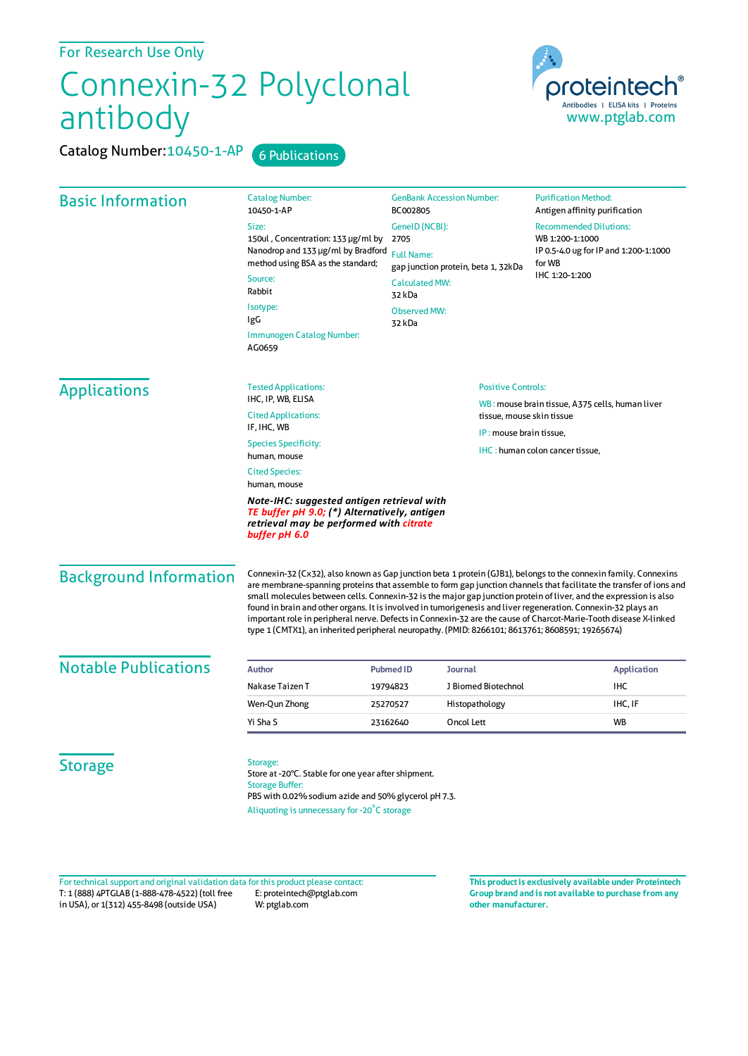For Research Use Only

## Connexin-32 Polyclonal antibody

Catalog Number: 10450-1-AP 6 Publications



| <b>Basic Information</b>      | <b>Catalog Number:</b><br>10450-1-AP                                                                                                                                                                                                                                                                                                                                                                                                                                                                                                                                                                                                                                                                | <b>GenBank Accession Number:</b><br>BC002805                                                        |                         | <b>Purification Method:</b><br>Antigen affinity purification                         |  |
|-------------------------------|-----------------------------------------------------------------------------------------------------------------------------------------------------------------------------------------------------------------------------------------------------------------------------------------------------------------------------------------------------------------------------------------------------------------------------------------------------------------------------------------------------------------------------------------------------------------------------------------------------------------------------------------------------------------------------------------------------|-----------------------------------------------------------------------------------------------------|-------------------------|--------------------------------------------------------------------------------------|--|
|                               | Size:<br>GenelD (NCBI):                                                                                                                                                                                                                                                                                                                                                                                                                                                                                                                                                                                                                                                                             |                                                                                                     |                         | <b>Recommended Dilutions:</b>                                                        |  |
|                               | 150ul, Concentration: 133 µg/ml by                                                                                                                                                                                                                                                                                                                                                                                                                                                                                                                                                                                                                                                                  | 2705<br><b>Full Name:</b><br>gap junction protein, beta 1, 32kDa<br><b>Calculated MW:</b><br>32 kDa |                         | WB 1:200-1:1000<br>IP 0.5-4.0 ug for IP and 1:200-1:1000<br>for WB<br>IHC 1:20-1:200 |  |
|                               | Nanodrop and 133 µg/ml by Bradford<br>method using BSA as the standard;                                                                                                                                                                                                                                                                                                                                                                                                                                                                                                                                                                                                                             |                                                                                                     |                         |                                                                                      |  |
|                               | Source:<br>Rabbit                                                                                                                                                                                                                                                                                                                                                                                                                                                                                                                                                                                                                                                                                   |                                                                                                     |                         |                                                                                      |  |
|                               | Isotype:<br>IgG                                                                                                                                                                                                                                                                                                                                                                                                                                                                                                                                                                                                                                                                                     | <b>Observed MW:</b><br>32 kDa                                                                       |                         |                                                                                      |  |
|                               | Immunogen Catalog Number:<br>AG0659                                                                                                                                                                                                                                                                                                                                                                                                                                                                                                                                                                                                                                                                 |                                                                                                     |                         |                                                                                      |  |
| <b>Applications</b>           | <b>Tested Applications:</b>                                                                                                                                                                                                                                                                                                                                                                                                                                                                                                                                                                                                                                                                         | <b>Positive Controls:</b>                                                                           |                         |                                                                                      |  |
|                               | IHC, IP, WB, ELISA<br><b>Cited Applications:</b>                                                                                                                                                                                                                                                                                                                                                                                                                                                                                                                                                                                                                                                    |                                                                                                     |                         | WB: mouse brain tissue, A375 cells, human liver<br>tissue, mouse skin tissue         |  |
|                               | IF, IHC, WB                                                                                                                                                                                                                                                                                                                                                                                                                                                                                                                                                                                                                                                                                         |                                                                                                     | IP: mouse brain tissue, |                                                                                      |  |
|                               | <b>Species Specificity:</b><br>human, mouse                                                                                                                                                                                                                                                                                                                                                                                                                                                                                                                                                                                                                                                         |                                                                                                     |                         | IHC: human colon cancer tissue,                                                      |  |
|                               | <b>Cited Species:</b><br>human, mouse                                                                                                                                                                                                                                                                                                                                                                                                                                                                                                                                                                                                                                                               |                                                                                                     |                         |                                                                                      |  |
|                               | Note-IHC: suggested antigen retrieval with<br>TE buffer pH 9.0; (*) Alternatively, antigen<br>retrieval may be performed with citrate<br>buffer pH 6.0                                                                                                                                                                                                                                                                                                                                                                                                                                                                                                                                              |                                                                                                     |                         |                                                                                      |  |
| <b>Background Information</b> | Connexin-32 (Cx32), also known as Gap junction beta 1 protein (GJB1), belongs to the connexin family. Connexins<br>are membrane-spanning proteins that assemble to form gap junction channels that facilitate the transfer of ions and<br>small molecules between cells. Connexin-32 is the major gap junction protein of liver, and the expression is also<br>found in brain and other organs. It is involved in tumorigenesis and liver regeneration. Connexin-32 plays an<br>important role in peripheral nerve. Defects in Connexin-32 are the cause of Charcot-Marie-Tooth disease X-linked<br>type 1 (CMTX1), an inherited peripheral neuropathy. (PMID: 8266101; 8613761; 8608591; 19265674) |                                                                                                     |                         |                                                                                      |  |
| <b>Notable Publications</b>   | <b>Author</b>                                                                                                                                                                                                                                                                                                                                                                                                                                                                                                                                                                                                                                                                                       | <b>Pubmed ID</b><br>Journal                                                                         |                         | <b>Application</b>                                                                   |  |
|                               | Nakase Taizen T                                                                                                                                                                                                                                                                                                                                                                                                                                                                                                                                                                                                                                                                                     | 19794823                                                                                            | J Biomed Biotechnol     | <b>IHC</b>                                                                           |  |
|                               | Wen-Qun Zhong                                                                                                                                                                                                                                                                                                                                                                                                                                                                                                                                                                                                                                                                                       | 25270527                                                                                            | Histopathology          | IHC, IF                                                                              |  |
|                               | Yi Sha S                                                                                                                                                                                                                                                                                                                                                                                                                                                                                                                                                                                                                                                                                            | 23162640<br>Oncol Lett                                                                              |                         | <b>WB</b>                                                                            |  |
| <b>Storage</b>                | Storage:<br>Store at -20°C. Stable for one year after shipment.<br><b>Storage Buffer:</b><br>PBS with 0.02% sodium azide and 50% glycerol pH 7.3.<br>Aliquoting is unnecessary for -20°C storage                                                                                                                                                                                                                                                                                                                                                                                                                                                                                                    |                                                                                                     |                         |                                                                                      |  |

T: 1 (888) 4PTGLAB (1-888-478-4522) (toll free in USA), or 1(312) 455-8498 (outside USA) E: proteintech@ptglab.com W: ptglab.com Fortechnical support and original validation data forthis product please contact: **This productis exclusively available under Proteintech**

**Group brand and is not available to purchase from any other manufacturer.**